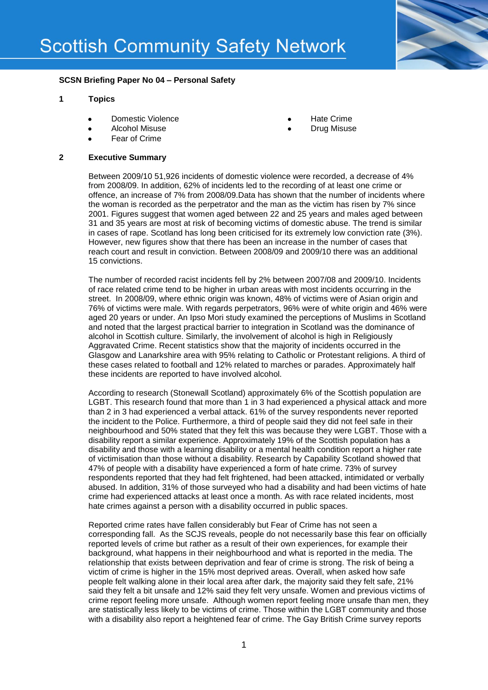

## **SCSN Briefing Paper No 04 – Personal Safety**

#### **1 Topics**

- Domestic Violence
- Alcohol Misuse
- Fear of Crime

# Hate Crime

Drug Misuse

## **2 Executive Summary**

Between 2009/10 51,926 incidents of domestic violence were recorded, a decrease of 4% from 2008/09. In addition, 62% of incidents led to the recording of at least one crime or offence, an increase of 7% from 2008/09.Data has shown that the number of incidents where the woman is recorded as the perpetrator and the man as the victim has risen by 7% since 2001. Figures suggest that women aged between 22 and 25 years and males aged between 31 and 35 years are most at risk of becoming victims of domestic abuse. The trend is similar in cases of rape. Scotland has long been criticised for its extremely low conviction rate (3%). However, new figures show that there has been an increase in the number of cases that reach court and result in conviction. Between 2008/09 and 2009/10 there was an additional 15 convictions.

The number of recorded racist incidents fell by 2% between 2007/08 and 2009/10. Incidents of race related crime tend to be higher in urban areas with most incidents occurring in the street. In 2008/09, where ethnic origin was known, 48% of victims were of Asian origin and 76% of victims were male. With regards perpetrators, 96% were of white origin and 46% were aged 20 years or under. An Ipso Mori study examined the perceptions of Muslims in Scotland and noted that the largest practical barrier to integration in Scotland was the dominance of alcohol in Scottish culture. Similarly, the involvement of alcohol is high in Religiously Aggravated Crime. Recent statistics show that the majority of incidents occurred in the Glasgow and Lanarkshire area with 95% relating to Catholic or Protestant religions. A third of these cases related to football and 12% related to marches or parades. Approximately half these incidents are reported to have involved alcohol.

According to research (Stonewall Scotland) approximately 6% of the Scottish population are LGBT. This research found that more than 1 in 3 had experienced a physical attack and more than 2 in 3 had experienced a verbal attack. 61% of the survey respondents never reported the incident to the Police. Furthermore, a third of people said they did not feel safe in their neighbourhood and 50% stated that they felt this was because they were LGBT. Those with a disability report a similar experience. Approximately 19% of the Scottish population has a disability and those with a learning disability or a mental health condition report a higher rate of victimisation than those without a disability. Research by Capability Scotland showed that 47% of people with a disability have experienced a form of hate crime. 73% of survey respondents reported that they had felt frightened, had been attacked, intimidated or verbally abused. In addition, 31% of those surveyed who had a disability and had been victims of hate crime had experienced attacks at least once a month. As with race related incidents, most hate crimes against a person with a disability occurred in public spaces.

Reported crime rates have fallen considerably but Fear of Crime has not seen a corresponding fall. As the SCJS reveals, people do not necessarily base this fear on officially reported levels of crime but rather as a result of their own experiences, for example their background, what happens in their neighbourhood and what is reported in the media. The relationship that exists between deprivation and fear of crime is strong. The risk of being a victim of crime is higher in the 15% most deprived areas. Overall, when asked how safe people felt walking alone in their local area after dark, the majority said they felt safe, 21% said they felt a bit unsafe and 12% said they felt very unsafe. Women and previous victims of crime report feeling more unsafe. Although women report feeling more unsafe than men, they are statistically less likely to be victims of crime. Those within the LGBT community and those with a disability also report a heightened fear of crime. The Gay British Crime survey reports